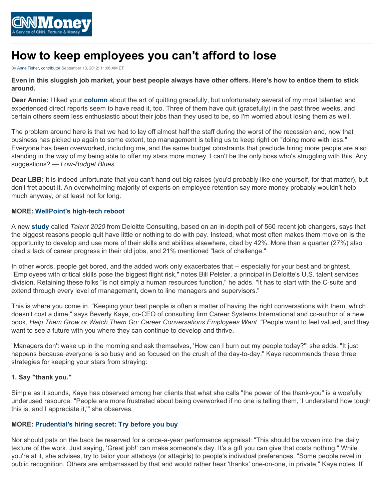

# **How to keep employees you can't afford to lose**

By [Anne Fisher, contributor](http://management.fortune.cnn.com/author/malteseboy/) September 13, 2012: 11:06 AM ET

**Even in this sluggish job market, your best people always have other offers. Here's how to entice them to stick around.**

**Dear Annie:** I liked your **[column](http://management.fortune.cnn.com/2012/08/10/the-art-of-quitting-gracefully/)** about the art of quitting gracefully, but unfortunately several of my most talented and experienced direct reports seem to have read it, too. Three of them have quit (gracefully) in the past three weeks, and certain others seem less enthusiastic about their jobs than they used to be, so I'm worried about losing them as well.

The problem around here is that we had to lay off almost half the staff during the worst of the recession and, now that business has picked up again to some extent, top management is telling us to keep right on "doing more with less." Everyone has been overworked, including me, and the same budget constraints that preclude hiring more people are also standing in the way of my being able to offer my stars more money. I can't be the only boss who's struggling with this. Any suggestions? — *Low-Budget Blues*

**Dear LBB:** It is indeed unfortunate that you can't hand out big raises (you'd probably like one yourself, for that matter), but don't fret about it. An overwhelming majority of experts on employee retention say more money probably wouldn't help much anyway, or at least not for long.

# **MORE: [WellPoint's high-tech reboot](http://management.fortune.cnn.com/2012/09/13/wellpoint-lori-beer/)**

A new **[study](http://www.deloitte.com/us/talent)** called *Talent 2020* from Deloitte Consulting, based on an in-depth poll of 560 recent job changers, says that the biggest reasons people quit have little or nothing to do with pay. Instead, what most often makes them move on is the opportunity to develop and use more of their skills and abilities elsewhere, cited by 42%. More than a quarter (27%) also cited a lack of career progress in their old jobs, and 21% mentioned "lack of challenge."

In other words, people get bored, and the added work only exacerbates that -- especially for your best and brightest. "Employees with critical skills pose the biggest flight risk," notes Bill Pelster, a principal in Deloitte's U.S. talent services division. Retaining these folks "is not simply a human resources function," he adds. "It has to start with the C-suite and extend through every level of management, down to line managers and supervisors."

This is where you come in. "Keeping your best people is often a matter of having the right conversations with them, which doesn't cost a dime," says Beverly Kaye, co-CEO of consulting firm Career Systems International and co-author of a new book, *Help Them Grow or Watch Them Go: Career Conversations Employees Want*. "People want to feel valued, and they want to see a future with you where they can continue to develop and thrive.

"Managers don't wake up in the morning and ask themselves, 'How can I burn out my people today?'" she adds. "It just happens because everyone is so busy and so focused on the crush of the day-to-day." Kaye recommends these three strategies for keeping your stars from straying:

# **1. Say "thank you."**

Simple as it sounds, Kaye has observed among her clients that what she calls "the power of the thank-you" is a woefully underused resource. "People are more frustrated about being overworked if no one is telling them, 'I understand how tough this is, and I appreciate it,'" she observes.

# **MORE: [Prudential's hiring secret: Try before you buy](http://management.fortune.cnn.com/2012/09/12/prudentials-secret-for-hiring-self-starters-try-before-you-buy/)**

Nor should pats on the back be reserved for a once-a-year performance appraisal: "This should be woven into the daily texture of the work. Just saying, 'Great job!' can make someone's day. It's a gift you can give that costs nothing." While you're at it, she advises, try to tailor your attaboys (or attagirls) to people's individual preferences. "Some people revel in public recognition. Others are embarrassed by that and would rather hear 'thanks' one-on-one, in private," Kaye notes. If